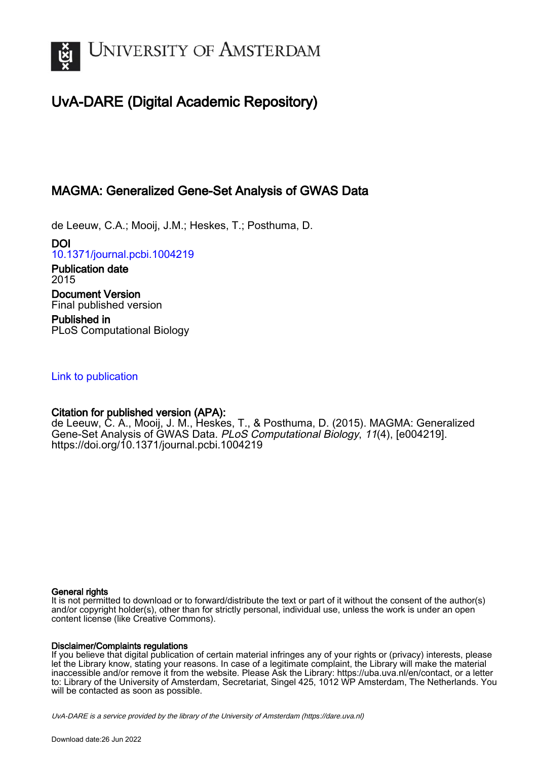

# UvA-DARE (Digital Academic Repository)

## MAGMA: Generalized Gene-Set Analysis of GWAS Data

de Leeuw, C.A.; Mooij, J.M.; Heskes, T.; Posthuma, D.

DOI [10.1371/journal.pcbi.1004219](https://doi.org/10.1371/journal.pcbi.1004219)

Publication date 2015 Document Version Final published version

Published in PLoS Computational Biology

### [Link to publication](https://dare.uva.nl/personal/pure/en/publications/magma-generalized-geneset-analysis-of-gwas-data(b002463c-12ad-47b2-a538-0b6d0ba6ede7).html)

### Citation for published version (APA):

de Leeuw, C. A., Mooij, J. M., Heskes, T., & Posthuma, D. (2015). MAGMA: Generalized Gene-Set Analysis of GWAS Data. PLoS Computational Biology, 11(4), [e004219]. <https://doi.org/10.1371/journal.pcbi.1004219>

#### General rights

It is not permitted to download or to forward/distribute the text or part of it without the consent of the author(s) and/or copyright holder(s), other than for strictly personal, individual use, unless the work is under an open content license (like Creative Commons).

#### Disclaimer/Complaints regulations

If you believe that digital publication of certain material infringes any of your rights or (privacy) interests, please let the Library know, stating your reasons. In case of a legitimate complaint, the Library will make the material inaccessible and/or remove it from the website. Please Ask the Library: https://uba.uva.nl/en/contact, or a letter to: Library of the University of Amsterdam, Secretariat, Singel 425, 1012 WP Amsterdam, The Netherlands. You will be contacted as soon as possible.

UvA-DARE is a service provided by the library of the University of Amsterdam (http*s*://dare.uva.nl)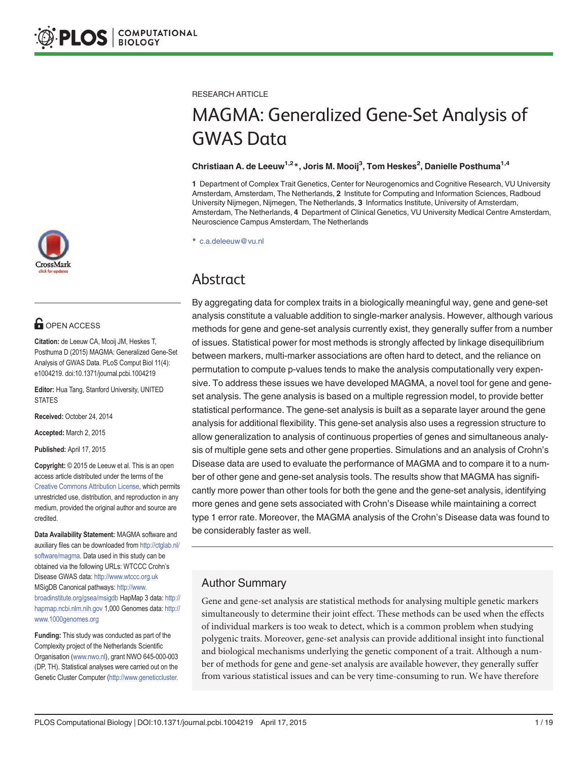

# **O** OPEN ACCESS

Citation: de Leeuw CA, Mooij JM, Heskes T, Posthuma D (2015) MAGMA: Generalized Gene-Set Analysis of GWAS Data. PLoS Comput Biol 11(4): e1004219. doi:10.1371/journal.pcbi.1004219

Editor: Hua Tang, Stanford University, UNITED **STATES** 

Received: October 24, 2014

Accepted: March 2, 2015

Published: April 17, 2015

Copyright: © 2015 de Leeuw et al. This is an open access article distributed under the terms of the [Creative Commons Attribution License,](http://creativecommons.org/licenses/by/4.0/) which permits unrestricted use, distribution, and reproduction in any medium, provided the original author and source are credited.

Data Availability Statement: MAGMA software and auxiliary files can be downloaded from [http://ctglab.nl/](http://ctglab.nl/software/magma) [software/magma](http://ctglab.nl/software/magma). Data used in this study can be obtained via the following URLs: WTCCC Crohn's Disease GWAS data: <http://www.wtccc.org.uk> MSigDB Canonical pathways: [http://www.](http://www.broadinstitute.org/gsea/msigdb) [broadinstitute.org/gsea/msigdb](http://www.broadinstitute.org/gsea/msigdb) HapMap 3 data: [http://](http://hapmap.ncbi.nlm.nih.gov) [hapmap.ncbi.nlm.nih.gov](http://hapmap.ncbi.nlm.nih.gov) 1,000 Genomes data: [http://](http://www.1000genomes.org) [www.1000genomes.org](http://www.1000genomes.org)

Funding: This study was conducted as part of the Complexity project of the Netherlands Scientific Organisation [\(www.nwo.nl\)](http://www.nwo.nl), grant NWO 645-000-003 (DP, TH). Statistical analyses were carried out on the Genetic Cluster Computer ([http://www.geneticcluster.](http://www.geneticcluster.org) RESEARCH ARTICLE

# MAGMA: Generalized Gene-Set Analysis of GWAS Data

#### Christiaan A. de Leeuw<sup>1,2\*</sup>, Joris M. Mooij<sup>3</sup>, Tom Heskes<sup>2</sup>, Danielle Posthuma<sup>1,4</sup>

1 Department of Complex Trait Genetics, Center for Neurogenomics and Cognitive Research, VU University Amsterdam, Amsterdam, The Netherlands, 2 Institute for Computing and Information Sciences, Radboud University Nijmegen, Nijmegen, The Netherlands, 3 Informatics Institute, University of Amsterdam, Amsterdam, The Netherlands, 4 Department of Clinical Genetics, VU University Medical Centre Amsterdam, Neuroscience Campus Amsterdam, The Netherlands

c.a.deleeuw@vu.nl

# Abstract

By aggregating data for complex traits in a biologically meaningful way, gene and gene-set analysis constitute a valuable addition to single-marker analysis. However, although various methods for gene and gene-set analysis currently exist, they generally suffer from a number of issues. Statistical power for most methods is strongly affected by linkage disequilibrium between markers, multi-marker associations are often hard to detect, and the reliance on permutation to compute p-values tends to make the analysis computationally very expensive. To address these issues we have developed MAGMA, a novel tool for gene and geneset analysis. The gene analysis is based on a multiple regression model, to provide better statistical performance. The gene-set analysis is built as a separate layer around the gene analysis for additional flexibility. This gene-set analysis also uses a regression structure to allow generalization to analysis of continuous properties of genes and simultaneous analysis of multiple gene sets and other gene properties. Simulations and an analysis of Crohn's Disease data are used to evaluate the performance of MAGMA and to compare it to a number of other gene and gene-set analysis tools. The results show that MAGMA has significantly more power than other tools for both the gene and the gene-set analysis, identifying more genes and gene sets associated with Crohn's Disease while maintaining a correct type 1 error rate. Moreover, the MAGMA analysis of the Crohn's Disease data was found to be considerably faster as well.

## Author Summary

Gene and gene-set analysis are statistical methods for analysing multiple genetic markers simultaneously to determine their joint effect. These methods can be used when the effects of individual markers is too weak to detect, which is a common problem when studying polygenic traits. Moreover, gene-set analysis can provide additional insight into functional and biological mechanisms underlying the genetic component of a trait. Although a number of methods for gene and gene-set analysis are available however, they generally suffer from various statistical issues and can be very time-consuming to run. We have therefore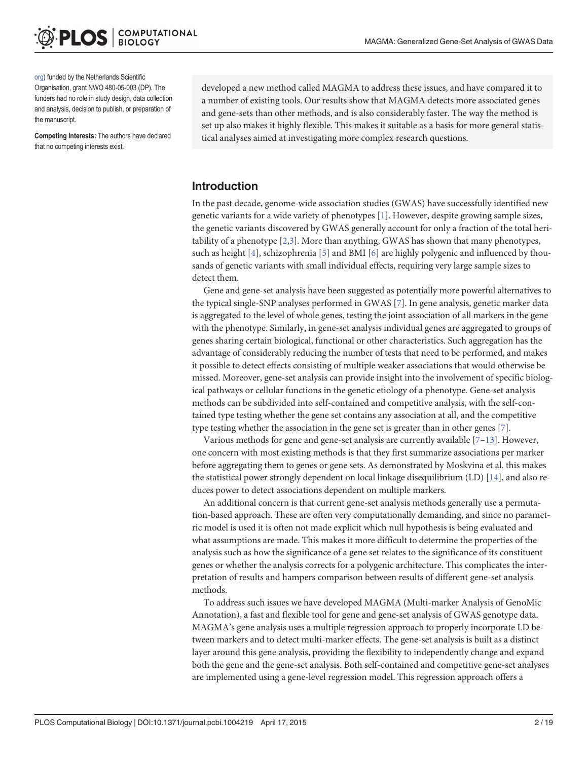<span id="page-2-0"></span>[org](http://www.geneticcluster.org)) funded by the Netherlands Scientific Organisation, grant NWO 480-05-003 (DP). The funders had no role in study design, data collection and analysis, decision to publish, or preparation of the manuscript.

Competing Interests: The authors have declared that no competing interests exist.

developed a new method called MAGMA to address these issues, and have compared it to a number of existing tools. Our results show that MAGMA detects more associated genes and gene-sets than other methods, and is also considerably faster. The way the method is set up also makes it highly flexible. This makes it suitable as a basis for more general statistical analyses aimed at investigating more complex research questions.

#### Introduction

In the past decade, genome-wide association studies (GWAS) have successfully identified new genetic variants for a wide variety of phenotypes [\[1](#page-18-0)]. However, despite growing sample sizes, the genetic variants discovered by GWAS generally account for only a fraction of the total heritability of a phenotype  $[2,3]$  $[2,3]$ . More than anything, GWAS has shown that many phenotypes, such as height  $[4]$  $[4]$ , schizophrenia  $[5]$  $[5]$  and BMI  $[6]$  $[6]$  are highly polygenic and influenced by thousands of genetic variants with small individual effects, requiring very large sample sizes to detect them.

Gene and gene-set analysis have been suggested as potentially more powerful alternatives to the typical single-SNP analyses performed in GWAS [\[7](#page-18-0)]. In gene analysis, genetic marker data is aggregated to the level of whole genes, testing the joint association of all markers in the gene with the phenotype. Similarly, in gene-set analysis individual genes are aggregated to groups of genes sharing certain biological, functional or other characteristics. Such aggregation has the advantage of considerably reducing the number of tests that need to be performed, and makes it possible to detect effects consisting of multiple weaker associations that would otherwise be missed. Moreover, gene-set analysis can provide insight into the involvement of specific biological pathways or cellular functions in the genetic etiology of a phenotype. Gene-set analysis methods can be subdivided into self-contained and competitive analysis, with the self-contained type testing whether the gene set contains any association at all, and the competitive type testing whether the association in the gene set is greater than in other genes [[7\]](#page-18-0).

Various methods for gene and gene-set analysis are currently available  $[7-13]$  $[7-13]$  $[7-13]$ . However, one concern with most existing methods is that they first summarize associations per marker before aggregating them to genes or gene sets. As demonstrated by Moskvina et al. this makes the statistical power strongly dependent on local linkage disequilibrium (LD) [[14](#page-18-0)], and also reduces power to detect associations dependent on multiple markers.

An additional concern is that current gene-set analysis methods generally use a permutation-based approach. These are often very computationally demanding, and since no parametric model is used it is often not made explicit which null hypothesis is being evaluated and what assumptions are made. This makes it more difficult to determine the properties of the analysis such as how the significance of a gene set relates to the significance of its constituent genes or whether the analysis corrects for a polygenic architecture. This complicates the interpretation of results and hampers comparison between results of different gene-set analysis methods.

To address such issues we have developed MAGMA (Multi-marker Analysis of GenoMic Annotation), a fast and flexible tool for gene and gene-set analysis of GWAS genotype data. MAGMA's gene analysis uses a multiple regression approach to properly incorporate LD between markers and to detect multi-marker effects. The gene-set analysis is built as a distinct layer around this gene analysis, providing the flexibility to independently change and expand both the gene and the gene-set analysis. Both self-contained and competitive gene-set analyses are implemented using a gene-level regression model. This regression approach offers a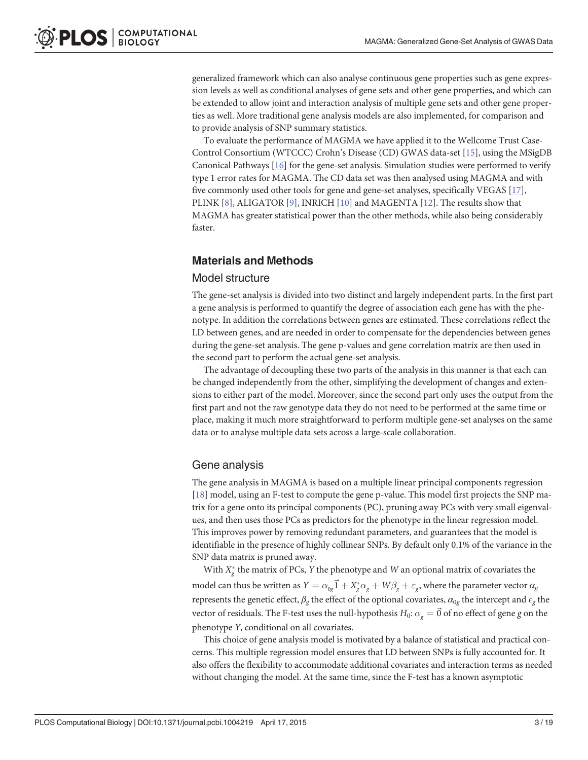<span id="page-3-0"></span>generalized framework which can also analyse continuous gene properties such as gene expression levels as well as conditional analyses of gene sets and other gene properties, and which can be extended to allow joint and interaction analysis of multiple gene sets and other gene properties as well. More traditional gene analysis models are also implemented, for comparison and to provide analysis of SNP summary statistics.

To evaluate the performance of MAGMA we have applied it to the Wellcome Trust Case-Control Consortium (WTCCC) Crohn's Disease (CD) GWAS data-set [\[15\]](#page-18-0), using the MSigDB Canonical Pathways [\[16\]](#page-18-0) for the gene-set analysis. Simulation studies were performed to verify type 1 error rates for MAGMA. The CD data set was then analysed using MAGMA and with five commonly used other tools for gene and gene-set analyses, specifically VEGAS [\[17\]](#page-18-0), PLINK [\[8\]](#page-18-0), ALIGATOR [\[9](#page-18-0)], INRICH [\[10\]](#page-18-0) and MAGENTA [\[12\]](#page-18-0). The results show that MAGMA has greater statistical power than the other methods, while also being considerably faster.

### Materials and Methods

#### Model structure

The gene-set analysis is divided into two distinct and largely independent parts. In the first part a gene analysis is performed to quantify the degree of association each gene has with the phenotype. In addition the correlations between genes are estimated. These correlations reflect the LD between genes, and are needed in order to compensate for the dependencies between genes during the gene-set analysis. The gene p-values and gene correlation matrix are then used in the second part to perform the actual gene-set analysis.

The advantage of decoupling these two parts of the analysis in this manner is that each can be changed independently from the other, simplifying the development of changes and extensions to either part of the model. Moreover, since the second part only uses the output from the first part and not the raw genotype data they do not need to be performed at the same time or place, making it much more straightforward to perform multiple gene-set analyses on the same data or to analyse multiple data sets across a large-scale collaboration.

#### Gene analysis

The gene analysis in MAGMA is based on a multiple linear principal components regression [\[18](#page-18-0)] model, using an F-test to compute the gene p-value. This model first projects the SNP matrix for a gene onto its principal components (PC), pruning away PCs with very small eigenvalues, and then uses those PCs as predictors for the phenotype in the linear regression model. This improves power by removing redundant parameters, and guarantees that the model is identifiable in the presence of highly collinear SNPs. By default only 0.1% of the variance in the SNP data matrix is pruned away.

With  $X_g^*$  the matrix of PCs, Y the phenotype and  $W$  an optional matrix of covariates the model can thus be written as  $Y = \alpha_{0g} \vec{1} + X_g^* \alpha_g + W \beta_g + \varepsilon_g$ , where the parameter vector  $\alpha_g$ represents the genetic effect,  $\beta_g$  the effect of the optional covariates,  $\alpha_{0g}$  the intercept and  $\epsilon_g$  the vector of residuals. The F-test uses the null-hypothesis  $H_0: \alpha_g = \vec{0}$  of no effect of gene g on the phenotype Y, conditional on all covariates.

This choice of gene analysis model is motivated by a balance of statistical and practical concerns. This multiple regression model ensures that LD between SNPs is fully accounted for. It also offers the flexibility to accommodate additional covariates and interaction terms as needed without changing the model. At the same time, since the F-test has a known asymptotic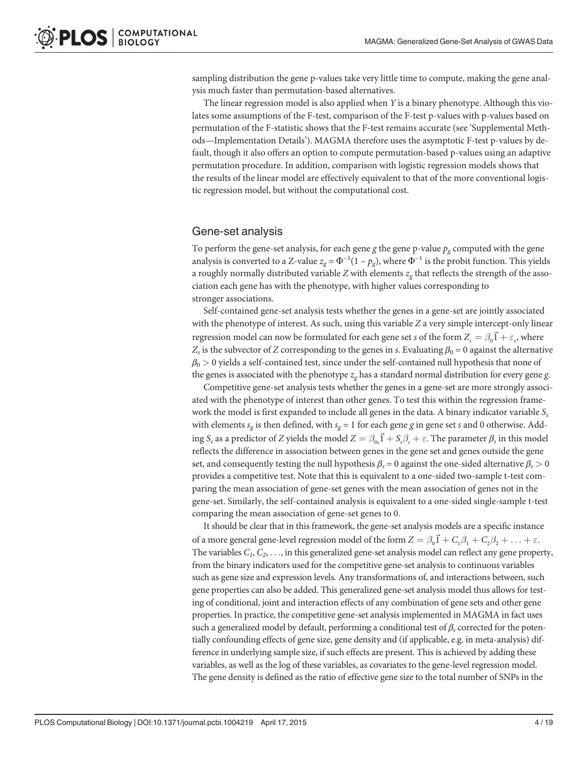sampling distribution the gene p-values take very little time to compute, making the gene analysis much faster than permutation-based alternatives.

The linear regression model is also applied when Y is a binary phenotype. Although this violates some assumptions of the F-test, comparison of the F-test p-values with p-values based on permutation of the F-statistic shows that the F-test remains accurate (see 'Supplemental Methods—Implementation Details'). MAGMA therefore uses the asymptotic F-test p-values by default, though it also offers an option to compute permutation-based p-values using an adaptive permutation procedure. In addition, comparison with logistic regression models shows that the results of the linear model are effectively equivalent to that of the more conventional logistic regression model, but without the computational cost.

#### Gene-set analysis

To perform the gene-set analysis, for each gene g the gene p-value  $p_g$  computed with the gene analysis is converted to a Z-value  $z_g = \Phi^{-1}(1 - p_g)$ , where  $\Phi^{-1}$  is the probit function. This yields a roughly normally distributed variable Z with elements  $z_g$  that reflects the strength of the association each gene has with the phenotype, with higher values corresponding to stronger associations.

Self-contained gene-set analysis tests whether the genes in a gene-set are jointly associated with the phenotype of interest. As such, using this variable Z a very simple intercept-only linear regression model can now be formulated for each gene set s of the form  $Z_s = \beta_0 \vec{1} + \varepsilon_s$ , where  $Z_s$  is the subvector of Z corresponding to the genes in s. Evaluating  $\beta_0 = 0$  against the alternative  $\beta_0 > 0$  yields a self-contained test, since under the self-contained null hypothesis that none of the genes is associated with the phenotype  $z_e$  has a standard normal distribution for every gene g.

Competitive gene-set analysis tests whether the genes in a gene-set are more strongly associated with the phenotype of interest than other genes. To test this within the regression framework the model is first expanded to include all genes in the data. A binary indicator variable  $S_s$ with elements  $s_g$  is then defined, with  $s_g = 1$  for each gene g in gene set s and 0 otherwise. Adding  $S_s$  as a predictor of Z yields the model  $Z = \beta_{0s} \vec{1} + S_s \beta_s + \varepsilon$ . The parameter  $\beta_s$  in this model reflects the difference in association between genes in the gene set and genes outside the gene set, and consequently testing the null hypothesis  $\beta_s = 0$  against the one-sided alternative  $\beta_s > 0$ provides a competitive test. Note that this is equivalent to a one-sided two-sample t-test comparing the mean association of gene-set genes with the mean association of genes not in the gene-set. Similarly, the self-contained analysis is equivalent to a one-sided single-sample t-test comparing the mean association of gene-set genes to 0.

It should be clear that in this framework, the gene-set analysis models are a specific instance of a more general gene-level regression model of the form  $Z = \beta_0 \vec{1} + C_1 \beta_1 + C_2 \beta_2 + \ldots + \varepsilon$ . The variables  $C_1, C_2, \ldots$ , in this generalized gene-set analysis model can reflect any gene property, from the binary indicators used for the competitive gene-set analysis to continuous variables such as gene size and expression levels. Any transformations of, and interactions between, such gene properties can also be added. This generalized gene-set analysis model thus allows for testing of conditional, joint and interaction effects of any combination of gene sets and other gene properties. In practice, the competitive gene-set analysis implemented in MAGMA in fact uses such a generalized model by default, performing a conditional test of  $\beta_s$  corrected for the potentially confounding effects of gene size, gene density and (if applicable, e.g. in meta-analysis) difference in underlying sample size, if such effects are present. This is achieved by adding these variables, as well as the log of these variables, as covariates to the gene-level regression model. The gene density is defined as the ratio of effective gene size to the total number of SNPs in the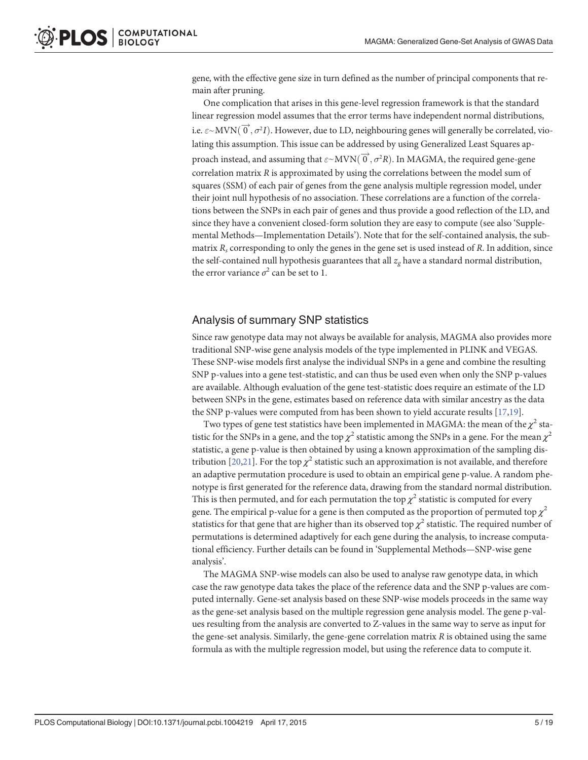<span id="page-5-0"></span>gene, with the effective gene size in turn defined as the number of principal components that remain after pruning.

One complication that arises in this gene-level regression framework is that the standard linear regression model assumes that the error terms have independent normal distributions, gene, with the  $\epsilon$ <br>main after prun<br>One compli<br>linear regressic<br>i.e.  $\varepsilon \sim \text{MVN}(\overline{0})$  $\overrightarrow{0}$ ,  $\sigma^2 I$ ). However, due to LD, neighbouring genes will generally be correlated, violating this assumption. This issue can be addressed by using Generalized Least Squares aplinear regression model assumes that the error<br>i.e.  $\varepsilon$ ~MVN( $\overrightarrow{0}$ ,  $\sigma$ <sup>2</sup>I). However, due to LD, nei<br>lating this assumption. This issue can be addre<br>proach instead, and assuming that  $\varepsilon$ ~MVN( $\overline{0}$  $\overrightarrow{0}$ ,  $\sigma^2 R$ ). In MAGMA, the required gene-gene correlation matrix R is approximated by using the correlations between the model sum of squares (SSM) of each pair of genes from the gene analysis multiple regression model, under their joint null hypothesis of no association. These correlations are a function of the correlations between the SNPs in each pair of genes and thus provide a good reflection of the LD, and since they have a convenient closed-form solution they are easy to compute (see also 'Supplemental Methods—Implementation Details'). Note that for the self-contained analysis, the submatrix  $R_s$  corresponding to only the genes in the gene set is used instead of R. In addition, since the self-contained null hypothesis guarantees that all  $z<sub>g</sub>$  have a standard normal distribution, the error variance  $\sigma^2$  can be set to 1.

#### Analysis of summary SNP statistics

Since raw genotype data may not always be available for analysis, MAGMA also provides more traditional SNP-wise gene analysis models of the type implemented in PLINK and VEGAS. These SNP-wise models first analyse the individual SNPs in a gene and combine the resulting SNP p-values into a gene test-statistic, and can thus be used even when only the SNP p-values are available. Although evaluation of the gene test-statistic does require an estimate of the LD between SNPs in the gene, estimates based on reference data with similar ancestry as the data the SNP p-values were computed from has been shown to yield accurate results  $[17,19]$  $[17,19]$ .

Two types of gene test statistics have been implemented in MAGMA: the mean of the  $\chi^2$  statistic for the SNPs in a gene, and the top  $\chi^2$  statistic among the SNPs in a gene. For the mean  $\chi^2$ statistic, a gene p-value is then obtained by using a known approximation of the sampling dis-tribution [\[20,21\]](#page-18-0). For the top  $\chi^2$  statistic such an approximation is not available, and therefore an adaptive permutation procedure is used to obtain an empirical gene p-value. A random phenotype is first generated for the reference data, drawing from the standard normal distribution. This is then permuted, and for each permutation the top  $\chi^2$  statistic is computed for every gene. The empirical p-value for a gene is then computed as the proportion of permuted top  $\chi^2$ statistics for that gene that are higher than its observed top  $\chi^2$  statistic. The required number of permutations is determined adaptively for each gene during the analysis, to increase computational efficiency. Further details can be found in 'Supplemental Methods—SNP-wise gene analysis'.

The MAGMA SNP-wise models can also be used to analyse raw genotype data, in which case the raw genotype data takes the place of the reference data and the SNP p-values are computed internally. Gene-set analysis based on these SNP-wise models proceeds in the same way as the gene-set analysis based on the multiple regression gene analysis model. The gene p-values resulting from the analysis are converted to Z-values in the same way to serve as input for the gene-set analysis. Similarly, the gene-gene correlation matrix  $R$  is obtained using the same formula as with the multiple regression model, but using the reference data to compute it.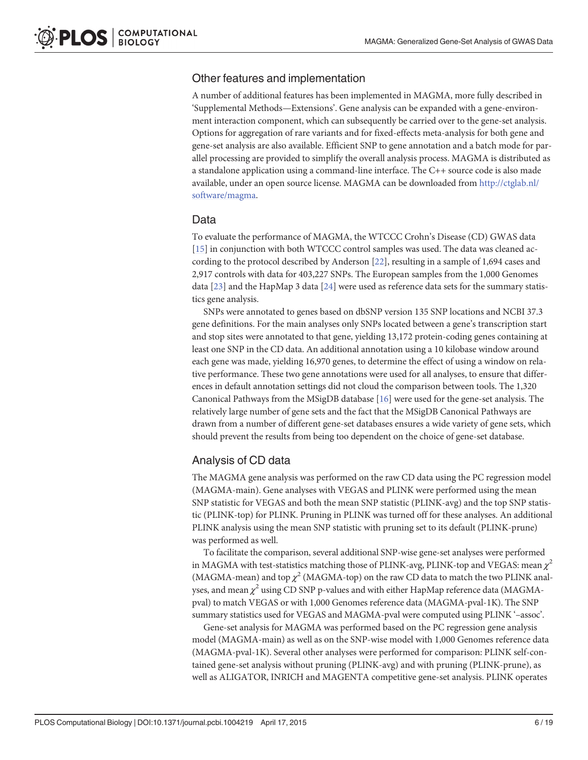## <span id="page-6-0"></span>Other features and implementation

A number of additional features has been implemented in MAGMA, more fully described in 'Supplemental Methods—Extensions'. Gene analysis can be expanded with a gene-environment interaction component, which can subsequently be carried over to the gene-set analysis. Options for aggregation of rare variants and for fixed-effects meta-analysis for both gene and gene-set analysis are also available. Efficient SNP to gene annotation and a batch mode for parallel processing are provided to simplify the overall analysis process. MAGMA is distributed as a standalone application using a command-line interface. The C++ source code is also made available, under an open source license. MAGMA can be downloaded from [http://ctglab.nl/](http://ctglab.nl/software/magma) [software/magma](http://ctglab.nl/software/magma).

#### Data

To evaluate the performance of MAGMA, the WTCCC Crohn's Disease (CD) GWAS data [\[15](#page-18-0)] in conjunction with both WTCCC control samples was used. The data was cleaned according to the protocol described by Anderson [\[22](#page-19-0)], resulting in a sample of 1,694 cases and 2,917 controls with data for 403,227 SNPs. The European samples from the 1,000 Genomes data  $[23]$  $[23]$  $[23]$  and the HapMap 3 data  $[24]$  were used as reference data sets for the summary statistics gene analysis.

SNPs were annotated to genes based on dbSNP version 135 SNP locations and NCBI 37.3 gene definitions. For the main analyses only SNPs located between a gene's transcription start and stop sites were annotated to that gene, yielding 13,172 protein-coding genes containing at least one SNP in the CD data. An additional annotation using a 10 kilobase window around each gene was made, yielding 16,970 genes, to determine the effect of using a window on relative performance. These two gene annotations were used for all analyses, to ensure that differences in default annotation settings did not cloud the comparison between tools. The 1,320 Canonical Pathways from the MSigDB database [\[16\]](#page-18-0) were used for the gene-set analysis. The relatively large number of gene sets and the fact that the MSigDB Canonical Pathways are drawn from a number of different gene-set databases ensures a wide variety of gene sets, which should prevent the results from being too dependent on the choice of gene-set database.

### Analysis of CD data

The MAGMA gene analysis was performed on the raw CD data using the PC regression model (MAGMA-main). Gene analyses with VEGAS and PLINK were performed using the mean SNP statistic for VEGAS and both the mean SNP statistic (PLINK-avg) and the top SNP statistic (PLINK-top) for PLINK. Pruning in PLINK was turned off for these analyses. An additional PLINK analysis using the mean SNP statistic with pruning set to its default (PLINK-prune) was performed as well.

To facilitate the comparison, several additional SNP-wise gene-set analyses were performed in MAGMA with test-statistics matching those of PLINK-avg, PLINK-top and VEGAS: mean  $\chi^2$ (MAGMA-mean) and top  $\chi^2$  (MAGMA-top) on the raw CD data to match the two PLINK analyses, and mean  $\chi^2$  using CD SNP p-values and with either HapMap reference data (MAGMApval) to match VEGAS or with 1,000 Genomes reference data (MAGMA-pval-1K). The SNP summary statistics used for VEGAS and MAGMA-pval were computed using PLINK '–assoc'.

Gene-set analysis for MAGMA was performed based on the PC regression gene analysis model (MAGMA-main) as well as on the SNP-wise model with 1,000 Genomes reference data (MAGMA-pval-1K). Several other analyses were performed for comparison: PLINK self-contained gene-set analysis without pruning (PLINK-avg) and with pruning (PLINK-prune), as well as ALIGATOR, INRICH and MAGENTA competitive gene-set analysis. PLINK operates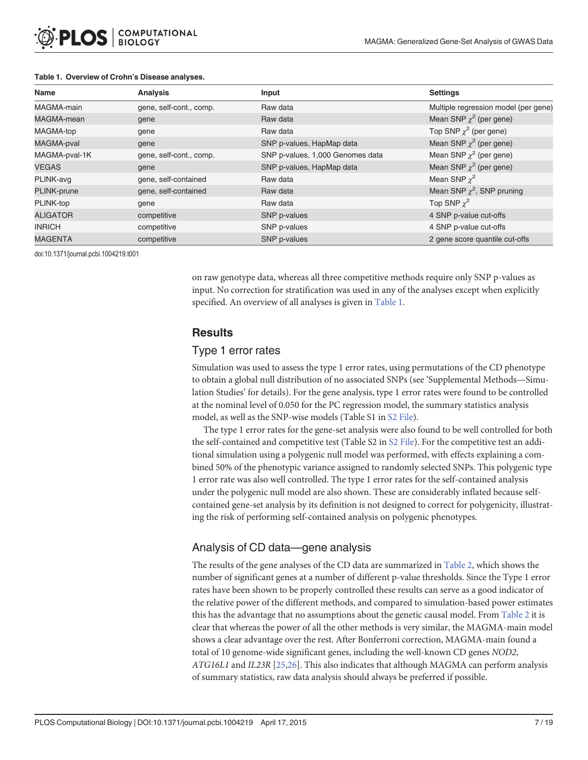| Name            | <b>Analysis</b>         | Input                            | <b>Settings</b>                      |
|-----------------|-------------------------|----------------------------------|--------------------------------------|
| MAGMA-main      | gene, self-cont., comp. | Raw data                         | Multiple regression model (per gene) |
| MAGMA-mean      | gene                    | Raw data                         | Mean SNP $\chi^2$ (per gene)         |
| MAGMA-top       | gene                    | Raw data                         | Top SNP $\chi^2$ (per gene)          |
| MAGMA-pval      | gene                    | SNP p-values, HapMap data        | Mean SNP $\chi^2$ (per gene)         |
| MAGMA-pval-1K   | gene, self-cont., comp. | SNP p-values, 1,000 Genomes data | Mean SNP $\chi^2$ (per gene)         |
| <b>VEGAS</b>    | gene                    | SNP p-values, HapMap data        | Mean SNP $\chi^2$ (per gene)         |
| PLINK-avg       | gene, self-contained    | Raw data                         | Mean SNP $\chi^2$                    |
| PLINK-prune     | gene, self-contained    | Raw data                         | Mean SNP $\chi^2$ , SNP pruning      |
| PLINK-top       | gene                    | Raw data                         | Top SNP $\chi^2$                     |
| <b>ALIGATOR</b> | competitive             | SNP p-values                     | 4 SNP p-value cut-offs               |
| <b>INRICH</b>   | competitive             | SNP p-values                     | 4 SNP p-value cut-offs               |
| <b>MAGENTA</b>  | competitive             | SNP p-values                     | 2 gene score quantile cut-offs       |

#### <span id="page-7-0"></span>Table 1. Overview of Crohn's Disease analyses.

doi:10.1371/journal.pcbi.1004219.t001

on raw genotype data, whereas all three competitive methods require only SNP p-values as input. No correction for stratification was used in any of the analyses except when explicitly specified. An overview of all analyses is given in Table 1.

#### **Results**

#### Type 1 error rates

Simulation was used to assess the type 1 error rates, using permutations of the CD phenotype to obtain a global null distribution of no associated SNPs (see 'Supplemental Methods—Simulation Studies' for details). For the gene analysis, type 1 error rates were found to be controlled at the nominal level of 0.050 for the PC regression model, the summary statistics analysis model, as well as the SNP-wise models (Table S1 in [S2 File](#page-15-0)).

The type 1 error rates for the gene-set analysis were also found to be well controlled for both the self-contained and competitive test (Table S2 in [S2 File](#page-15-0)). For the competitive test an additional simulation using a polygenic null model was performed, with effects explaining a combined 50% of the phenotypic variance assigned to randomly selected SNPs. This polygenic type 1 error rate was also well controlled. The type 1 error rates for the self-contained analysis under the polygenic null model are also shown. These are considerably inflated because selfcontained gene-set analysis by its definition is not designed to correct for polygenicity, illustrating the risk of performing self-contained analysis on polygenic phenotypes.

### Analysis of CD data—gene analysis

The results of the gene analyses of the CD data are summarized in [Table 2,](#page-8-0) which shows the number of significant genes at a number of different p-value thresholds. Since the Type 1 error rates have been shown to be properly controlled these results can serve as a good indicator of the relative power of the different methods, and compared to simulation-based power estimates this has the advantage that no assumptions about the genetic causal model. From [Table 2](#page-8-0) it is clear that whereas the power of all the other methods is very similar, the MAGMA-main model shows a clear advantage over the rest. After Bonferroni correction, MAGMA-main found a total of 10 genome-wide significant genes, including the well-known CD genes NOD2,  $ATG16L1$  and  $IL23R$  [[25](#page-19-0),[26](#page-19-0)]. This also indicates that although MAGMA can perform analysis of summary statistics, raw data analysis should always be preferred if possible.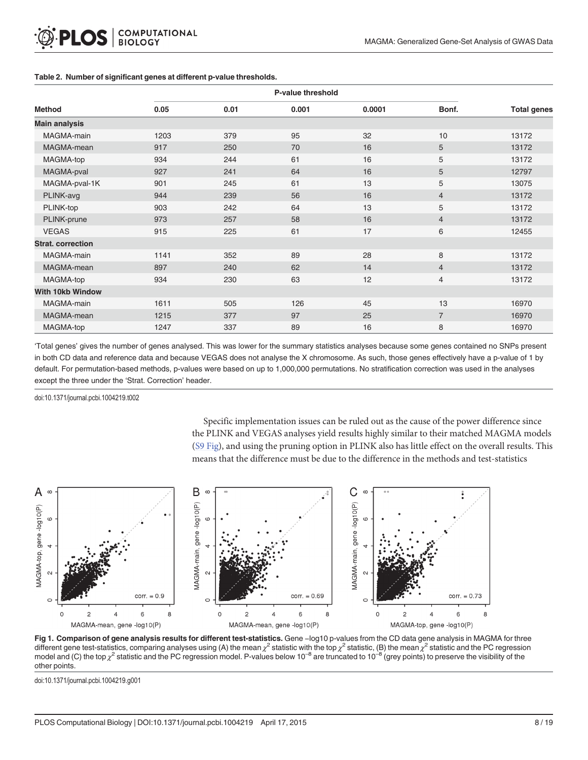|                          | <b>P-value threshold</b> |      |       |        |                 |                    |
|--------------------------|--------------------------|------|-------|--------|-----------------|--------------------|
| <b>Method</b>            | 0.05                     | 0.01 | 0.001 | 0.0001 | Bonf.           | <b>Total genes</b> |
| <b>Main analysis</b>     |                          |      |       |        |                 |                    |
| MAGMA-main               | 1203                     | 379  | 95    | 32     | 10              | 13172              |
| MAGMA-mean               | 917                      | 250  | 70    | 16     | $5\phantom{.0}$ | 13172              |
| MAGMA-top                | 934                      | 244  | 61    | 16     | 5               | 13172              |
| MAGMA-pval               | 927                      | 241  | 64    | 16     | 5               | 12797              |
| MAGMA-pval-1K            | 901                      | 245  | 61    | 13     | 5               | 13075              |
| PLINK-avg                | 944                      | 239  | 56    | 16     | $\overline{4}$  | 13172              |
| PLINK-top                | 903                      | 242  | 64    | 13     | 5               | 13172              |
| PLINK-prune              | 973                      | 257  | 58    | 16     | $\overline{4}$  | 13172              |
| <b>VEGAS</b>             | 915                      | 225  | 61    | 17     | 6               | 12455              |
| <b>Strat. correction</b> |                          |      |       |        |                 |                    |
| MAGMA-main               | 1141                     | 352  | 89    | 28     | 8               | 13172              |
| MAGMA-mean               | 897                      | 240  | 62    | 14     | $\overline{4}$  | 13172              |
| MAGMA-top                | 934                      | 230  | 63    | 12     | $\overline{4}$  | 13172              |
| <b>With 10kb Window</b>  |                          |      |       |        |                 |                    |
| MAGMA-main               | 1611                     | 505  | 126   | 45     | 13              | 16970              |
| MAGMA-mean               | 1215                     | 377  | 97    | 25     | $\overline{7}$  | 16970              |
| MAGMA-top                | 1247                     | 337  | 89    | 16     | 8               | 16970              |

#### <span id="page-8-0"></span>[Table 2.](#page-7-0) Number of significant genes at different p-value thresholds.

'Total genes' gives the number of genes analysed. This was lower for the summary statistics analyses because some genes contained no SNPs present in both CD data and reference data and because VEGAS does not analyse the X chromosome. As such, those genes effectively have a p-value of 1 by default. For permutation-based methods, p-values were based on up to 1,000,000 permutations. No stratification correction was used in the analyses except the three under the 'Strat. Correction' header.

doi:10.1371/journal.pcbi.1004219.t002

Specific implementation issues can be ruled out as the cause of the power difference since the PLINK and VEGAS analyses yield results highly similar to their matched MAGMA models [\(S9 Fig\)](#page-17-0), and using the pruning option in PLINK also has little effect on the overall results. This means that the difference must be due to the difference in the methods and test-statistics



different gene test-statistics, comparing analyses using (A) the mean  $\chi^2$  statistic with the top  $\chi^2$  statistic, (B) the mean  $\chi^2$  statistic and the PC regression model and (C) the top  $\chi^2$  statistic and the PC regression model. P-values below 10<sup>-8</sup> are truncated to 10<sup>-8</sup> (grey points) to preserve the visibility of the other points.

doi:10.1371/journal.pcbi.1004219.g001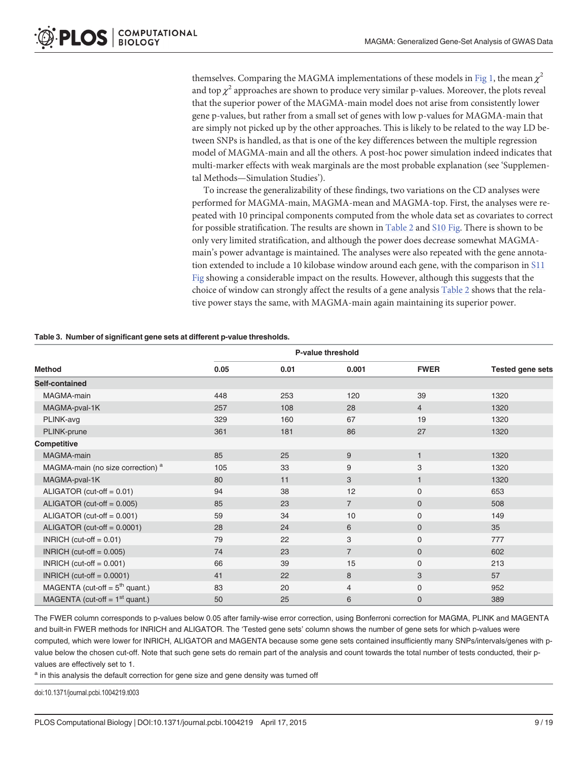<span id="page-9-0"></span>themselves. Comparing the MAGMA implementations of these models in [Fig 1,](#page-8-0) the mean  $\chi^2$ and top  $\chi^2$  approaches are shown to produce very similar p-values. Moreover, the plots reveal that the superior power of the MAGMA-main model does not arise from consistently lower gene p-values, but rather from a small set of genes with low p-values for MAGMA-main that are simply not picked up by the other approaches. This is likely to be related to the way LD between SNPs is handled, as that is one of the key differences between the multiple regression model of MAGMA-main and all the others. A post-hoc power simulation indeed indicates that multi-marker effects with weak marginals are the most probable explanation (see 'Supplemental Methods—Simulation Studies').

To increase the generalizability of these findings, two variations on the CD analyses were performed for MAGMA-main, MAGMA-mean and MAGMA-top. First, the analyses were repeated with 10 principal components computed from the whole data set as covariates to correct for possible stratification. The results are shown in [Table 2](#page-8-0) and [S10 Fig](#page-17-0). There is shown to be only very limited stratification, and although the power does decrease somewhat MAGMAmain's power advantage is maintained. The analyses were also repeated with the gene annotation extended to include a 10 kilobase window around each gene, with the comparison in [S11](#page-17-0) [Fig](#page-17-0) showing a considerable impact on the results. However, although this suggests that the choice of window can strongly affect the results of a gene analysis [Table 2](#page-8-0) shows that the relative power stays the same, with MAGMA-main again maintaining its superior power.

|                                              | P-value threshold |      |                |                |                         |
|----------------------------------------------|-------------------|------|----------------|----------------|-------------------------|
| <b>Method</b>                                | 0.05              | 0.01 | 0.001          | <b>FWER</b>    | <b>Tested gene sets</b> |
| Self-contained                               |                   |      |                |                |                         |
| MAGMA-main                                   | 448               | 253  | 120            | 39             | 1320                    |
| MAGMA-pval-1K                                | 257               | 108  | 28             | $\overline{4}$ | 1320                    |
| PLINK-avg                                    | 329               | 160  | 67             | 19             | 1320                    |
| PLINK-prune                                  | 361               | 181  | 86             | 27             | 1320                    |
| Competitive                                  |                   |      |                |                |                         |
| MAGMA-main                                   | 85                | 25   | 9              | $\mathbf{1}$   | 1320                    |
| MAGMA-main (no size correction) <sup>a</sup> | 105               | 33   | 9              | 3              | 1320                    |
| MAGMA-pval-1K                                | 80                | 11   | 3              |                | 1320                    |
| ALIGATOR (cut-off $= 0.01$ )                 | 94                | 38   | 12             | $\mathbf 0$    | 653                     |
| ALIGATOR (cut-off $= 0.005$ )                | 85                | 23   | $\overline{7}$ | $\mathbf{0}$   | 508                     |
| ALIGATOR (cut-off $= 0.001$ )                | 59                | 34   | 10             | $\mathbf 0$    | 149                     |
| ALIGATOR (cut-off $= 0.0001$ )               | 28                | 24   | 6              | $\mathbf{0}$   | 35                      |
| INRICH (cut-off $= 0.01$ )                   | 79                | 22   | 3              | $\mathbf{0}$   | 777                     |
| INRICH (cut-off $= 0.005$ )                  | 74                | 23   | $\overline{7}$ | $\mathbf{0}$   | 602                     |
| INRICH (cut-off $= 0.001$ )                  | 66                | 39   | 15             | $\mathbf 0$    | 213                     |
| INRICH (cut-off $= 0.0001$ )                 | 41                | 22   | 8              | 3              | 57                      |
| MAGENTA (cut-off $= 5th$ quant.)             | 83                | 20   | $\overline{4}$ | $\mathbf{0}$   | 952                     |
| MAGENTA (cut-off = $1st$ quant.)             | 50                | 25   | 6              | $\mathbf{0}$   | 389                     |

The FWER column corresponds to p-values below 0.05 after family-wise error correction, using Bonferroni correction for MAGMA, PLINK and MAGENTA and built-in FWER methods for INRICH and ALIGATOR. The 'Tested gene sets' column shows the number of gene sets for which p-values were computed, which were lower for INRICH, ALIGATOR and MAGENTA because some gene sets contained insufficiently many SNPs/intervals/genes with pvalue below the chosen cut-off. Note that such gene sets do remain part of the analysis and count towards the total number of tests conducted, their pvalues are effectively set to 1.

<sup>a</sup> in this analysis the default correction for gene size and gene density was turned off

doi:10.1371/journal.pcbi.1004219.t003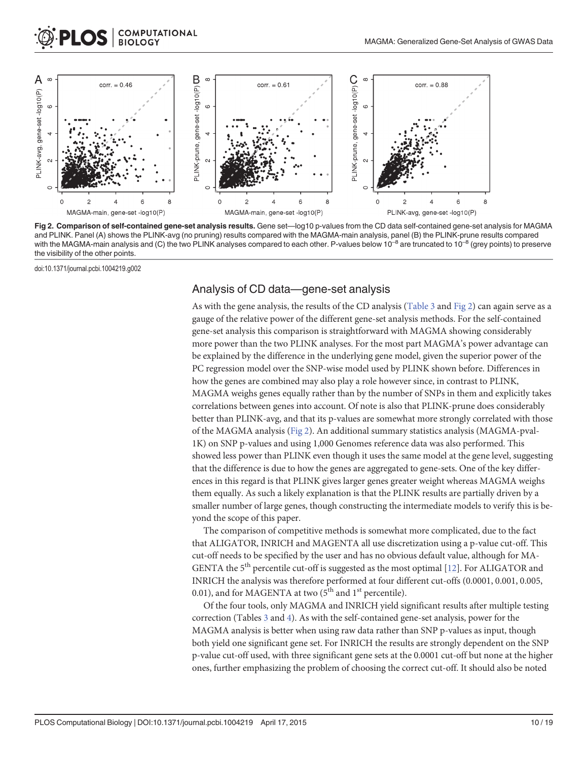<span id="page-10-0"></span>

Fig 2. Comparison of self-contained gene-set analysis results. Gene set—log10 p-values from the CD data self-contained gene-set analysis for MAGMA and PLINK. Panel (A) shows the PLINK-avg (no pruning) results compared with the MAGMA-main analysis, panel (B) the PLINK-prune results compared with the MAGMA-main analysis and (C) the two PLINK analyses compared to each other. P-values below  $10^{-8}$  are truncated to  $10^{-8}$  (grey points) to preserve the visibility of the other points.

doi:10.1371/journal.pcbi.1004219.g002

**COMPUTATIONAL**<br>BIOLOGY

#### Analysis of CD data—gene-set analysis

As with the gene analysis, the results of the CD analysis ([Table 3](#page-9-0) and Fig 2) can again serve as a gauge of the relative power of the different gene-set analysis methods. For the self-contained gene-set analysis this comparison is straightforward with MAGMA showing considerably more power than the two PLINK analyses. For the most part MAGMA's power advantage can be explained by the difference in the underlying gene model, given the superior power of the PC regression model over the SNP-wise model used by PLINK shown before. Differences in how the genes are combined may also play a role however since, in contrast to PLINK, MAGMA weighs genes equally rather than by the number of SNPs in them and explicitly takes correlations between genes into account. Of note is also that PLINK-prune does considerably better than PLINK-avg, and that its p-values are somewhat more strongly correlated with those of the MAGMA analysis (Fig 2). An additional summary statistics analysis (MAGMA-pval-1K) on SNP p-values and using 1,000 Genomes reference data was also performed. This showed less power than PLINK even though it uses the same model at the gene level, suggesting that the difference is due to how the genes are aggregated to gene-sets. One of the key differences in this regard is that PLINK gives larger genes greater weight whereas MAGMA weighs them equally. As such a likely explanation is that the PLINK results are partially driven by a smaller number of large genes, though constructing the intermediate models to verify this is beyond the scope of this paper.

The comparison of competitive methods is somewhat more complicated, due to the fact that ALIGATOR, INRICH and MAGENTA all use discretization using a p-value cut-off. This cut-off needs to be specified by the user and has no obvious default value, although for MA-GENTA the  $5<sup>th</sup>$  percentile cut-off is suggested as the most optimal [[12\]](#page-18-0). For ALIGATOR and INRICH the analysis was therefore performed at four different cut-offs (0.0001, 0.001, 0.005, 0.01), and for MAGENTA at two  $(5<sup>th</sup>$  and  $1<sup>st</sup>$  percentile).

Of the four tools, only MAGMA and INRICH yield significant results after multiple testing correction (Tables  $\frac{3}{2}$  $\frac{3}{2}$  $\frac{3}{2}$  and  $\frac{4}{2}$ ). As with the self-contained gene-set analysis, power for the MAGMA analysis is better when using raw data rather than SNP p-values as input, though both yield one significant gene set. For INRICH the results are strongly dependent on the SNP p-value cut-off used, with three significant gene sets at the 0.0001 cut-off but none at the higher ones, further emphasizing the problem of choosing the correct cut-off. It should also be noted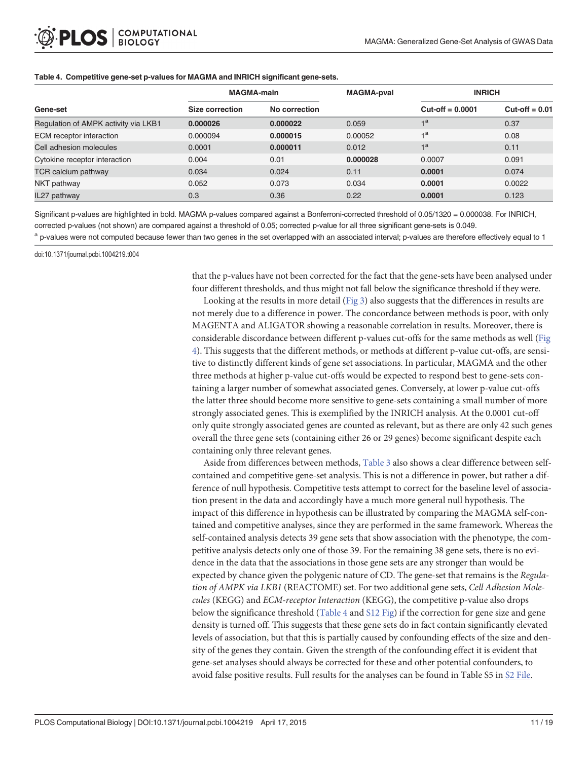|                                      | <b>MAGMA-main</b> |               | <b>MAGMA-pval</b> | <b>INRICH</b>      |                  |
|--------------------------------------|-------------------|---------------|-------------------|--------------------|------------------|
| Gene-set                             | Size correction   | No correction |                   | $Cut-off = 0.0001$ | $Cut-off = 0.01$ |
| Regulation of AMPK activity via LKB1 | 0.000026          | 0.000022      | 0.059             | 1 <sup>a</sup>     | 0.37             |
| ECM receptor interaction             | 0.000094          | 0.000015      | 0.00052           | 1 <sup>a</sup>     | 0.08             |
| Cell adhesion molecules              | 0.0001            | 0.000011      | 0.012             | 1 <sup>a</sup>     | 0.11             |
| Cytokine receptor interaction        | 0.004             | 0.01          | 0.000028          | 0.0007             | 0.091            |
| TCR calcium pathway                  | 0.034             | 0.024         | 0.11              | 0.0001             | 0.074            |
| NKT pathway                          | 0.052             | 0.073         | 0.034             | 0.0001             | 0.0022           |
| IL27 pathway                         | 0.3               | 0.36          | 0.22              | 0.0001             | 0.123            |

#### <span id="page-11-0"></span>[Table 4.](#page-10-0) Competitive gene-set p-values for MAGMA and INRICH significant gene-sets.

Significant p-values are highlighted in bold. MAGMA p-values compared against a Bonferroni-corrected threshold of 0.05/1320 = 0.000038. For INRICH, corrected p-values (not shown) are compared against a threshold of 0.05; corrected p-value for all three significant gene-sets is 0.049. <sup>a</sup> p-values were not computed because fewer than two genes in the set overlapped with an associated interval; p-values are therefore effectively equal to 1

doi:10.1371/journal.pcbi.1004219.t004

that the p-values have not been corrected for the fact that the gene-sets have been analysed under four different thresholds, and thus might not fall below the significance threshold if they were.

Looking at the results in more detail  $(Fig 3)$  also suggests that the differences in results are not merely due to a difference in power. The concordance between methods is poor, with only MAGENTA and ALIGATOR showing a reasonable correlation in results. Moreover, there is considerable discordance between different p-values cut-offs for the same methods as well ([Fig](#page-13-0) [4\)](#page-13-0). This suggests that the different methods, or methods at different p-value cut-offs, are sensitive to distinctly different kinds of gene set associations. In particular, MAGMA and the other three methods at higher p-value cut-offs would be expected to respond best to gene-sets containing a larger number of somewhat associated genes. Conversely, at lower p-value cut-offs the latter three should become more sensitive to gene-sets containing a small number of more strongly associated genes. This is exemplified by the INRICH analysis. At the 0.0001 cut-off only quite strongly associated genes are counted as relevant, but as there are only 42 such genes overall the three gene sets (containing either 26 or 29 genes) become significant despite each containing only three relevant genes.

Aside from differences between methods, [Table 3](#page-9-0) also shows a clear difference between selfcontained and competitive gene-set analysis. This is not a difference in power, but rather a difference of null hypothesis. Competitive tests attempt to correct for the baseline level of association present in the data and accordingly have a much more general null hypothesis. The impact of this difference in hypothesis can be illustrated by comparing the MAGMA self-contained and competitive analyses, since they are performed in the same framework. Whereas the self-contained analysis detects 39 gene sets that show association with the phenotype, the competitive analysis detects only one of those 39. For the remaining 38 gene sets, there is no evidence in the data that the associations in those gene sets are any stronger than would be expected by chance given the polygenic nature of CD. The gene-set that remains is the Regulation of AMPK via LKB1 (REACTOME) set. For two additional gene sets, Cell Adhesion Molecules (KEGG) and ECM-receptor Interaction (KEGG), the competitive p-value also drops below the significance threshold  $(Table 4$  and  $S12$  Fig) if the correction for gene size and gene density is turned off. This suggests that these gene sets do in fact contain significantly elevated levels of association, but that this is partially caused by confounding effects of the size and density of the genes they contain. Given the strength of the confounding effect it is evident that gene-set analyses should always be corrected for these and other potential confounders, to avoid false positive results. Full results for the analyses can be found in Table S5 in [S2 File](#page-15-0).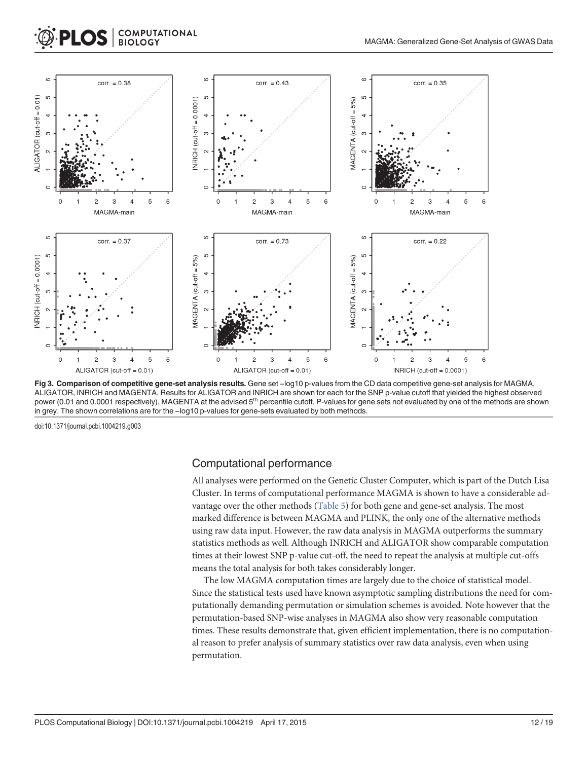<span id="page-12-0"></span>



ALIGATOR, INRICH and MAGENTA. Results for ALIGATOR and INRICH are shown for each for the SNP p-value cutoff that yielded the highest observed power (0.01 and 0.0001 respectively), MAGENTA at the advised 5<sup>th</sup> percentile cutoff. P-values for gene sets not evaluated by one of the methods are shown in grey. The shown correlations are for the <sup>−</sup>log10 p-values for gene-sets evaluated by both methods.

doi:10.1371/journal.pcbi.1004219.g003

### Computational performance

All analyses were performed on the Genetic Cluster Computer, which is part of the Dutch Lisa Cluster. In terms of computational performance MAGMA is shown to have a considerable advantage over the other methods  $(Table 5)$  $(Table 5)$  for both gene and gene-set analysis. The most marked difference is between MAGMA and PLINK, the only one of the alternative methods using raw data input. However, the raw data analysis in MAGMA outperforms the summary statistics methods as well. Although INRICH and ALIGATOR show comparable computation times at their lowest SNP p-value cut-off, the need to repeat the analysis at multiple cut-offs means the total analysis for both takes considerably longer.

The low MAGMA computation times are largely due to the choice of statistical model. Since the statistical tests used have known asymptotic sampling distributions the need for computationally demanding permutation or simulation schemes is avoided. Note however that the permutation-based SNP-wise analyses in MAGMA also show very reasonable computation times. These results demonstrate that, given efficient implementation, there is no computational reason to prefer analysis of summary statistics over raw data analysis, even when using permutation.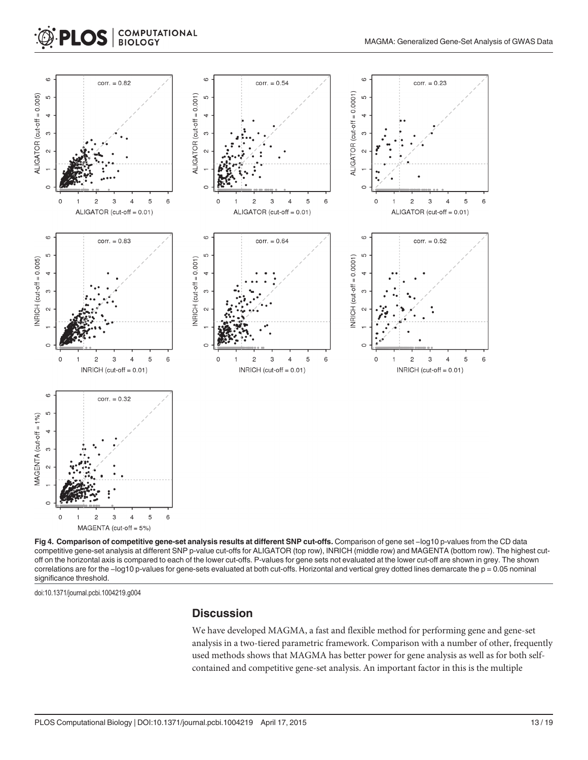<span id="page-13-0"></span>

competitive gene-set analysis at different SNP p-value cut-offs for ALIGATOR (top row), INRICH (middle row) and MAGENTA (bottom row). The highest cut-off on the horizontal axis is compared to each of the lower cut-offs. Poff on the horizontal axis is compared to each of the lower cut-offs. P-values for gene sets not evaluated at the lower cut-off are shown in grey. The shown correlations are for the  $-$ log10 p-values for gene-sets evaluat significance threshold.

doi:10.1371/journal.pcbi.1004219.g004

### **Discussion**

We have developed MAGMA, a fast and flexible method for performing gene and gene-set analysis in a two-tiered parametric framework. Comparison with a number of other, frequently used methods shows that MAGMA has better power for gene analysis as well as for both selfcontained and competitive gene-set analysis. An important factor in this is the multiple

**COMPUTATIONAL**<br>BIOLOGY

PLOS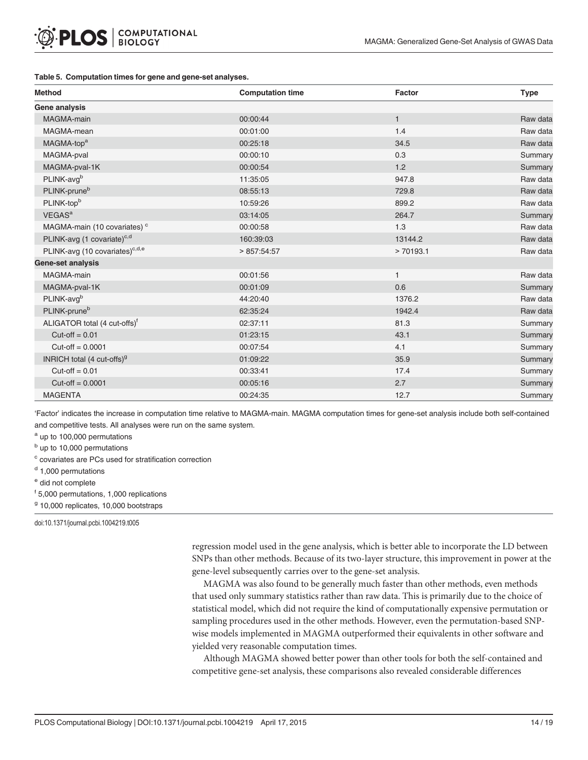#### <span id="page-14-0"></span>[Table 5.](#page-12-0) Computation times for gene and gene-set analyses.

| <b>Method</b>                              | <b>Computation time</b> | Factor       | <b>Type</b> |
|--------------------------------------------|-------------------------|--------------|-------------|
| Gene analysis                              |                         |              |             |
| MAGMA-main                                 | 00:00:44                | $\mathbf{1}$ | Raw data    |
| MAGMA-mean                                 | 00:01:00                | 1.4          | Raw data    |
| MAGMA-top <sup>a</sup>                     | 00:25:18                | 34.5         | Raw data    |
| MAGMA-pval                                 | 00:00:10                | 0.3          | Summary     |
| MAGMA-pval-1K                              | 00:00:54                | 1.2          | Summary     |
| PLINK-avgb                                 | 11:35:05                | 947.8        | Raw data    |
| PLINK-prune <sup>b</sup>                   | 08:55:13                | 729.8        | Raw data    |
| PLINK-topb                                 | 10:59:26                | 899.2        | Raw data    |
| <b>VEGAS<sup>a</sup></b>                   | 03:14:05                | 264.7        | Summary     |
| MAGMA-main (10 covariates) °               | 00:00:58                | 1.3          | Raw data    |
| PLINK-avg (1 covariate) <sup>c,d</sup>     | 160:39:03               | 13144.2      | Raw data    |
| PLINK-avg (10 covariates) <sup>c,d,e</sup> | > 857:54:57             | >70193.1     | Raw data    |
| <b>Gene-set analysis</b>                   |                         |              |             |
| MAGMA-main                                 | 00:01:56                | $\mathbf{1}$ | Raw data    |
| MAGMA-pval-1K                              | 00:01:09                | 0.6          | Summary     |
| PLINK-avg <sup>b</sup>                     | 44:20:40                | 1376.2       | Raw data    |
| PLINK-pruneb                               | 62:35:24                | 1942.4       | Raw data    |
| ALIGATOR total (4 cut-offs) <sup>t</sup>   | 02:37:11                | 81.3         | Summary     |
| $Cut-off = 0.01$                           | 01:23:15                | 43.1         | Summary     |
| $Cut-off = 0.0001$                         | 00:07:54                | 4.1          | Summary     |
| INRICH total (4 cut-offs) $9$              | 01:09:22                | 35.9         | Summary     |
| $Cut-off = 0.01$                           | 00:33:41                | 17.4         | Summary     |
| Cut-off = $0.0001$                         | 00:05:16                | 2.7          | Summary     |
| <b>MAGENTA</b>                             | 00:24:35                | 12.7         | Summary     |

'Factor' indicates the increase in computation time relative to MAGMA-main. MAGMA computation times for gene-set analysis include both self-contained and competitive tests. All analyses were run on the same system.

a up to 100,000 permutations

 $<sup>b</sup>$  up to 10,000 permutations</sup>

<sup>c</sup> covariates are PCs used for stratification correction

<sup>d</sup> 1,000 permutations

<sup>e</sup> did not complete

f 5,000 permutations, 1,000 replications

<sup>g</sup> 10,000 replicates, 10,000 bootstraps

doi:10.1371/journal.pcbi.1004219.t005

regression model used in the gene analysis, which is better able to incorporate the LD between SNPs than other methods. Because of its two-layer structure, this improvement in power at the gene-level subsequently carries over to the gene-set analysis.

MAGMA was also found to be generally much faster than other methods, even methods that used only summary statistics rather than raw data. This is primarily due to the choice of statistical model, which did not require the kind of computationally expensive permutation or sampling procedures used in the other methods. However, even the permutation-based SNPwise models implemented in MAGMA outperformed their equivalents in other software and yielded very reasonable computation times.

Although MAGMA showed better power than other tools for both the self-contained and competitive gene-set analysis, these comparisons also revealed considerable differences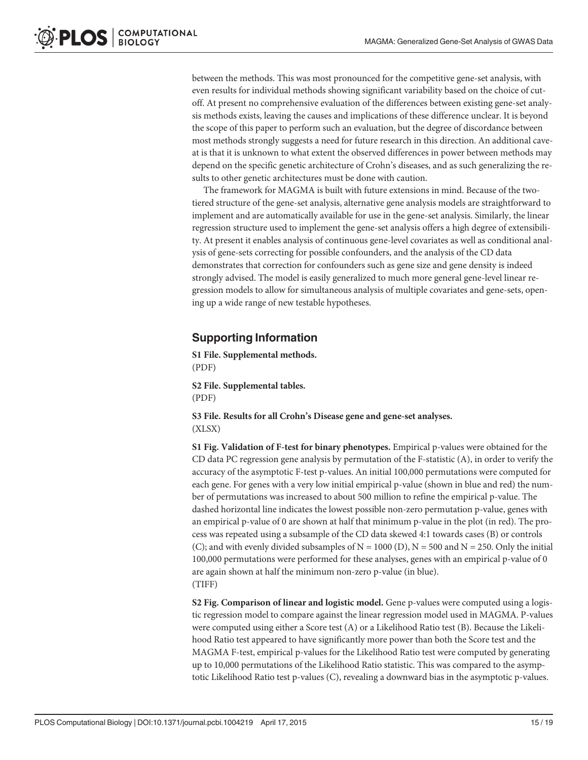<span id="page-15-0"></span>between the methods. This was most pronounced for the competitive gene-set analysis, with even results for individual methods showing significant variability based on the choice of cutoff. At present no comprehensive evaluation of the differences between existing gene-set analysis methods exists, leaving the causes and implications of these difference unclear. It is beyond the scope of this paper to perform such an evaluation, but the degree of discordance between most methods strongly suggests a need for future research in this direction. An additional caveat is that it is unknown to what extent the observed differences in power between methods may depend on the specific genetic architecture of Crohn's diseases, and as such generalizing the results to other genetic architectures must be done with caution.

The framework for MAGMA is built with future extensions in mind. Because of the twotiered structure of the gene-set analysis, alternative gene analysis models are straightforward to implement and are automatically available for use in the gene-set analysis. Similarly, the linear regression structure used to implement the gene-set analysis offers a high degree of extensibility. At present it enables analysis of continuous gene-level covariates as well as conditional analysis of gene-sets correcting for possible confounders, and the analysis of the CD data demonstrates that correction for confounders such as gene size and gene density is indeed strongly advised. The model is easily generalized to much more general gene-level linear regression models to allow for simultaneous analysis of multiple covariates and gene-sets, opening up a wide range of new testable hypotheses.

### Supporting Information

[S1 File.](http://www.plosone.org/article/fetchSingleRepresentation.action?uri=info:doi/10.1371/journal.pcbi.1004219.s001) Supplemental methods. (PDF)

[S2 File.](http://www.plosone.org/article/fetchSingleRepresentation.action?uri=info:doi/10.1371/journal.pcbi.1004219.s002) Supplemental tables. (PDF)

[S3 File.](http://www.plosone.org/article/fetchSingleRepresentation.action?uri=info:doi/10.1371/journal.pcbi.1004219.s003) Results for all Crohn's Disease gene and gene-set analyses. (XLSX)

[S1 Fig.](http://www.plosone.org/article/fetchSingleRepresentation.action?uri=info:doi/10.1371/journal.pcbi.1004219.s004) Validation of F-test for binary phenotypes. Empirical p-values were obtained for the CD data PC regression gene analysis by permutation of the F-statistic (A), in order to verify the accuracy of the asymptotic F-test p-values. An initial 100,000 permutations were computed for each gene. For genes with a very low initial empirical p-value (shown in blue and red) the number of permutations was increased to about 500 million to refine the empirical p-value. The dashed horizontal line indicates the lowest possible non-zero permutation p-value, genes with an empirical p-value of 0 are shown at half that minimum p-value in the plot (in red). The process was repeated using a subsample of the CD data skewed 4:1 towards cases (B) or controls (C); and with evenly divided subsamples of  $N = 1000$  (D),  $N = 500$  and  $N = 250$ . Only the initial 100,000 permutations were performed for these analyses, genes with an empirical p-value of 0 are again shown at half the minimum non-zero p-value (in blue). (TIFF)

[S2 Fig.](http://www.plosone.org/article/fetchSingleRepresentation.action?uri=info:doi/10.1371/journal.pcbi.1004219.s005) Comparison of linear and logistic model. Gene p-values were computed using a logistic regression model to compare against the linear regression model used in MAGMA. P-values were computed using either a Score test (A) or a Likelihood Ratio test (B). Because the Likelihood Ratio test appeared to have significantly more power than both the Score test and the MAGMA F-test, empirical p-values for the Likelihood Ratio test were computed by generating up to 10,000 permutations of the Likelihood Ratio statistic. This was compared to the asymptotic Likelihood Ratio test p-values (C), revealing a downward bias in the asymptotic p-values.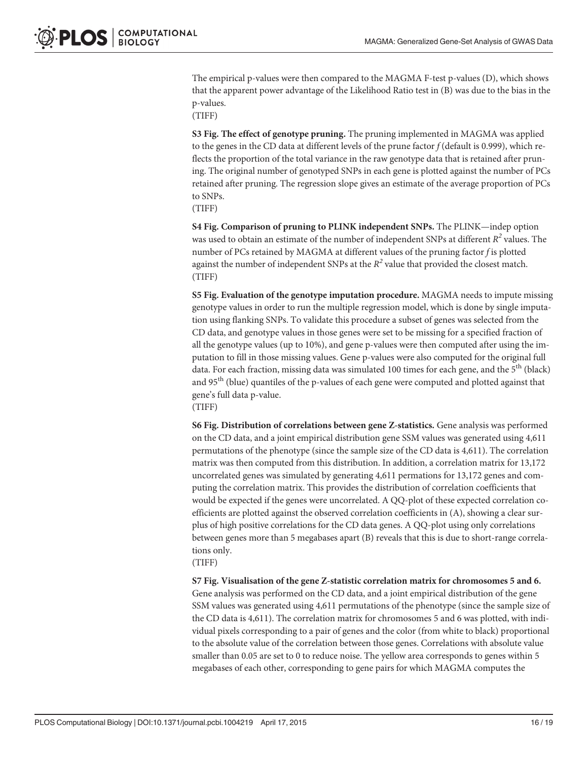The empirical p-values were then compared to the MAGMA F-test p-values (D), which shows that the apparent power advantage of the Likelihood Ratio test in (B) was due to the bias in the p-values.

(TIFF)

[S3 Fig.](http://www.plosone.org/article/fetchSingleRepresentation.action?uri=info:doi/10.1371/journal.pcbi.1004219.s006) The effect of genotype pruning. The pruning implemented in MAGMA was applied to the genes in the CD data at different levels of the prune factor f (default is 0.999), which reflects the proportion of the total variance in the raw genotype data that is retained after pruning. The original number of genotyped SNPs in each gene is plotted against the number of PCs retained after pruning. The regression slope gives an estimate of the average proportion of PCs to SNPs.



[S4 Fig.](http://www.plosone.org/article/fetchSingleRepresentation.action?uri=info:doi/10.1371/journal.pcbi.1004219.s007) Comparison of pruning to PLINK independent SNPs. The PLINK—indep option was used to obtain an estimate of the number of independent SNPs at different  $R^2$  values. The number of PCs retained by MAGMA at different values of the pruning factor f is plotted against the number of independent SNPs at the  $R^2$  value that provided the closest match. (TIFF)

[S5 Fig.](http://www.plosone.org/article/fetchSingleRepresentation.action?uri=info:doi/10.1371/journal.pcbi.1004219.s008) Evaluation of the genotype imputation procedure. MAGMA needs to impute missing genotype values in order to run the multiple regression model, which is done by single imputation using flanking SNPs. To validate this procedure a subset of genes was selected from the CD data, and genotype values in those genes were set to be missing for a specified fraction of all the genotype values (up to 10%), and gene p-values were then computed after using the imputation to fill in those missing values. Gene p-values were also computed for the original full data. For each fraction, missing data was simulated 100 times for each gene, and the 5<sup>th</sup> (black) and 95<sup>th</sup> (blue) quantiles of the p-values of each gene were computed and plotted against that gene's full data p-value.

(TIFF)

[S6 Fig.](http://www.plosone.org/article/fetchSingleRepresentation.action?uri=info:doi/10.1371/journal.pcbi.1004219.s009) Distribution of correlations between gene Z-statistics. Gene analysis was performed on the CD data, and a joint empirical distribution gene SSM values was generated using 4,611 permutations of the phenotype (since the sample size of the CD data is 4,611). The correlation matrix was then computed from this distribution. In addition, a correlation matrix for 13,172 uncorrelated genes was simulated by generating 4,611 permations for 13,172 genes and computing the correlation matrix. This provides the distribution of correlation coefficients that would be expected if the genes were uncorrelated. A QQ-plot of these expected correlation coefficients are plotted against the observed correlation coefficients in (A), showing a clear surplus of high positive correlations for the CD data genes. A QQ-plot using only correlations between genes more than 5 megabases apart (B) reveals that this is due to short-range correlations only.

(TIFF)

[S7 Fig.](http://www.plosone.org/article/fetchSingleRepresentation.action?uri=info:doi/10.1371/journal.pcbi.1004219.s010) Visualisation of the gene Z-statistic correlation matrix for chromosomes 5 and 6. Gene analysis was performed on the CD data, and a joint empirical distribution of the gene SSM values was generated using 4,611 permutations of the phenotype (since the sample size of the CD data is 4,611). The correlation matrix for chromosomes 5 and 6 was plotted, with individual pixels corresponding to a pair of genes and the color (from white to black) proportional to the absolute value of the correlation between those genes. Correlations with absolute value smaller than 0.05 are set to 0 to reduce noise. The yellow area corresponds to genes within 5 megabases of each other, corresponding to gene pairs for which MAGMA computes the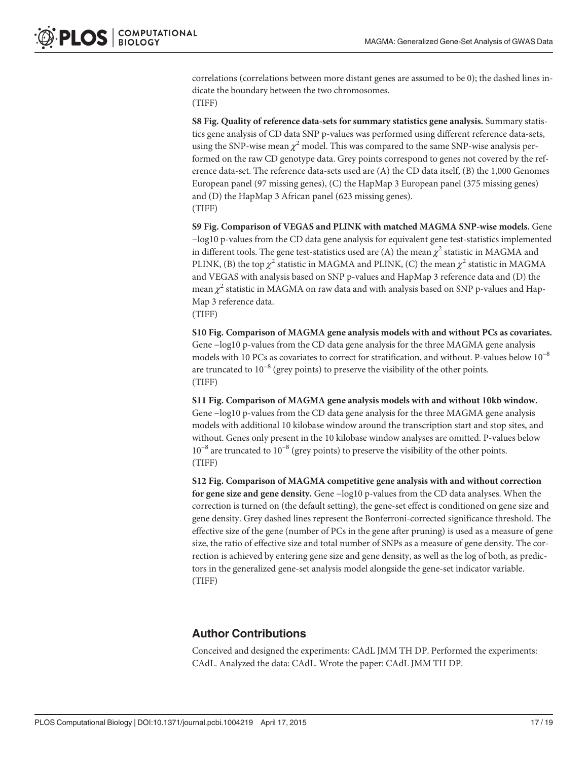<span id="page-17-0"></span>correlations (correlations between more distant genes are assumed to be 0); the dashed lines indicate the boundary between the two chromosomes. (TIFF)

[S8 Fig.](http://www.plosone.org/article/fetchSingleRepresentation.action?uri=info:doi/10.1371/journal.pcbi.1004219.s011) Quality of reference data-sets for summary statistics gene analysis. Summary statistics gene analysis of CD data SNP p-values was performed using different reference data-sets, using the SNP-wise mean  $\chi^2$  model. This was compared to the same SNP-wise analysis performed on the raw CD genotype data. Grey points correspond to genes not covered by the reference data-set. The reference data-sets used are (A) the CD data itself, (B) the 1,000 Genomes European panel (97 missing genes), (C) the HapMap 3 European panel (375 missing genes) and (D) the HapMap 3 African panel (623 missing genes). (TIFF)

[S9 Fig.](http://www.plosone.org/article/fetchSingleRepresentation.action?uri=info:doi/10.1371/journal.pcbi.1004219.s012) Comparison of VEGAS and PLINK with matched MAGMA SNP-wise models. Gene −log10 p-values from the CD data gene analysis for equivalent gene test-statistics implemented in different tools. The gene test-statistics used are (A) the mean  $\chi^2$  statistic in MAGMA and PLINK, (B) the top  $\chi^2$  statistic in MAGMA and PLINK, (C) the mean  $\chi^2$  statistic in MAGMA and VEGAS with analysis based on SNP p-values and HapMap 3 reference data and (D) the mean  $\chi^2$  statistic in MAGMA on raw data and with analysis based on SNP p-values and Hap-Map 3 reference data.



[S10 Fig.](http://www.plosone.org/article/fetchSingleRepresentation.action?uri=info:doi/10.1371/journal.pcbi.1004219.s013) Comparison of MAGMA gene analysis models with and without PCs as covariates. Gene −log10 p-values from the CD data gene analysis for the three MAGMA gene analysis models with 10 PCs as covariates to correct for stratification, and without. P-values below  $10^{-8}$ are truncated to  $10^{-8}$  (grey points) to preserve the visibility of the other points. (TIFF)

[S11 Fig.](http://www.plosone.org/article/fetchSingleRepresentation.action?uri=info:doi/10.1371/journal.pcbi.1004219.s014) Comparison of MAGMA gene analysis models with and without 10kb window. Gene −log10 p-values from the CD data gene analysis for the three MAGMA gene analysis models with additional 10 kilobase window around the transcription start and stop sites, and without. Genes only present in the 10 kilobase window analyses are omitted. P-values below  $10^{-8}$  are truncated to  $10^{-8}$  (grey points) to preserve the visibility of the other points. (TIFF)

[S12 Fig.](http://www.plosone.org/article/fetchSingleRepresentation.action?uri=info:doi/10.1371/journal.pcbi.1004219.s015) Comparison of MAGMA competitive gene analysis with and without correction for gene size and gene density. Gene −log10 p-values from the CD data analyses. When the correction is turned on (the default setting), the gene-set effect is conditioned on gene size and gene density. Grey dashed lines represent the Bonferroni-corrected significance threshold. The effective size of the gene (number of PCs in the gene after pruning) is used as a measure of gene size, the ratio of effective size and total number of SNPs as a measure of gene density. The correction is achieved by entering gene size and gene density, as well as the log of both, as predictors in the generalized gene-set analysis model alongside the gene-set indicator variable. (TIFF)

## Author Contributions

Conceived and designed the experiments: CAdL JMM TH DP. Performed the experiments: CAdL. Analyzed the data: CAdL. Wrote the paper: CAdL JMM TH DP.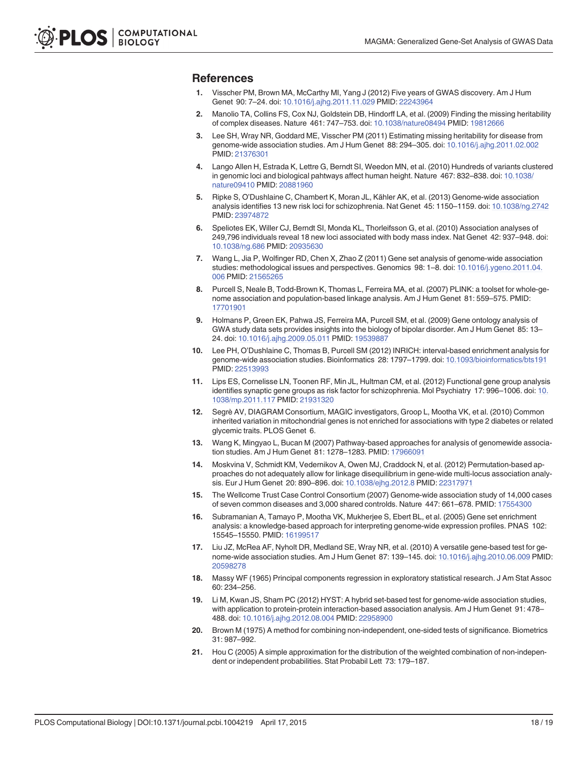#### <span id="page-18-0"></span>References

- [1.](#page-2-0) Visscher PM, Brown MA, McCarthy MI, Yang J (2012) Five years of GWAS discovery. Am J Hum Genet 90: 7–24. doi: [10.1016/j.ajhg.2011.11.029](http://dx.doi.org/10.1016/j.ajhg.2011.11.029) PMID: [22243964](http://www.ncbi.nlm.nih.gov/pubmed/22243964)
- [2.](#page-2-0) Manolio TA, Collins FS, Cox NJ, Goldstein DB, Hindorff LA, et al. (2009) Finding the missing heritability of complex diseases. Nature 461: 747–753. doi: [10.1038/nature08494](http://dx.doi.org/10.1038/nature08494) PMID: [19812666](http://www.ncbi.nlm.nih.gov/pubmed/19812666)
- [3.](#page-2-0) Lee SH, Wray NR, Goddard ME, Visscher PM (2011) Estimating missing heritability for disease from genome-wide association studies. Am J Hum Genet 88: 294–305. doi: [10.1016/j.ajhg.2011.02.002](http://dx.doi.org/10.1016/j.ajhg.2011.02.002) PMID: [21376301](http://www.ncbi.nlm.nih.gov/pubmed/21376301)
- [4.](#page-2-0) Lango Allen H, Estrada K, Lettre G, Berndt SI, Weedon MN, et al. (2010) Hundreds of variants clustered in genomic loci and biological pahtways affect human height. Nature 467: 832–838. doi: [10.1038/](http://dx.doi.org/10.1038/nature09410) [nature09410](http://dx.doi.org/10.1038/nature09410) PMID: [20881960](http://www.ncbi.nlm.nih.gov/pubmed/20881960)
- [5.](#page-2-0) Ripke S, O'Dushlaine C, Chambert K, Moran JL, Kähler AK, et al. (2013) Genome-wide association analysis identifies 13 new risk loci for schizophrenia. Nat Genet 45: 1150–1159. doi: [10.1038/ng.2742](http://dx.doi.org/10.1038/ng.2742) PMID: [23974872](http://www.ncbi.nlm.nih.gov/pubmed/23974872)
- [6.](#page-2-0) Speliotes EK, Willer CJ, Berndt SI, Monda KL, Thorleifsson G, et al. (2010) Association analyses of 249,796 individuals reveal 18 new loci associated with body mass index. Nat Genet 42: 937–948. doi: [10.1038/ng.686](http://dx.doi.org/10.1038/ng.686) PMID: [20935630](http://www.ncbi.nlm.nih.gov/pubmed/20935630)
- [7.](#page-2-0) Wang L, Jia P, Wolfinger RD, Chen X, Zhao Z (2011) Gene set analysis of genome-wide association studies: methodological issues and perspectives. Genomics 98: 1-8. doi: [10.1016/j.ygeno.2011.04.](http://dx.doi.org/10.1016/j.ygeno.2011.04.006) [006](http://dx.doi.org/10.1016/j.ygeno.2011.04.006) PMID: [21565265](http://www.ncbi.nlm.nih.gov/pubmed/21565265)
- [8.](#page-3-0) Purcell S, Neale B, Todd-Brown K, Thomas L, Ferreira MA, et al. (2007) PLINK: a toolset for whole-genome association and population-based linkage analysis. Am J Hum Genet 81: 559–575. PMID: [17701901](http://www.ncbi.nlm.nih.gov/pubmed/17701901)
- [9.](#page-3-0) Holmans P, Green EK, Pahwa JS, Ferreira MA, Purcell SM, et al. (2009) Gene ontology analysis of GWA study data sets provides insights into the biology of bipolar disorder. Am J Hum Genet 85: 13– 24. doi: [10.1016/j.ajhg.2009.05.011](http://dx.doi.org/10.1016/j.ajhg.2009.05.011) PMID: [19539887](http://www.ncbi.nlm.nih.gov/pubmed/19539887)
- [10.](#page-3-0) Lee PH, O'Dushlaine C, Thomas B, Purcell SM (2012) INRICH: interval-based enrichment analysis for genome-wide association studies. Bioinformatics 28: 1797–1799. doi: [10.1093/bioinformatics/bts191](http://dx.doi.org/10.1093/bioinformatics/bts191) PMID: [22513993](http://www.ncbi.nlm.nih.gov/pubmed/22513993)
- 11. Lips ES, Cornelisse LN, Toonen RF, Min JL, Hultman CM, et al. (2012) Functional gene group analysis identifies synaptic gene groups as risk factor for schizophrenia. Mol Psychiatry 17: 996–1006. doi: [10.](http://dx.doi.org/10.1038/mp.2011.117) [1038/mp.2011.117](http://dx.doi.org/10.1038/mp.2011.117) PMID: [21931320](http://www.ncbi.nlm.nih.gov/pubmed/21931320)
- [12.](#page-3-0) Segrè AV, DIAGRAM Consortium, MAGIC investigators, Groop L, Mootha VK, et al. (2010) Common inherited variation in mitochondrial genes is not enriched for associations with type 2 diabetes or related glycemic traits. PLOS Genet 6.
- [13.](#page-2-0) Wang K, Mingyao L, Bucan M (2007) Pathway-based approaches for analysis of genomewide association studies. Am J Hum Genet 81: 1278–1283. PMID: [17966091](http://www.ncbi.nlm.nih.gov/pubmed/17966091)
- [14.](#page-2-0) Moskvina V, Schmidt KM, Vedernikov A, Owen MJ, Craddock N, et al. (2012) Permutation-based approaches do not adequately allow for linkage disequilibrium in gene-wide multi-locus association analysis. Eur J Hum Genet 20: 890–896. doi: [10.1038/ejhg.2012.8](http://dx.doi.org/10.1038/ejhg.2012.8) PMID: [22317971](http://www.ncbi.nlm.nih.gov/pubmed/22317971)
- [15.](#page-3-0) The Wellcome Trust Case Control Consortium (2007) Genome-wide association study of 14,000 cases of seven common diseases and 3,000 shared controlds. Nature 447: 661–678. PMID: [17554300](http://www.ncbi.nlm.nih.gov/pubmed/17554300)
- [16.](#page-3-0) Subramanian A, Tamayo P, Mootha VK, Mukherjee S, Ebert BL, et al. (2005) Gene set enrichment analysis: a knowledge-based approach for interpreting genome-wide expression profiles. PNAS 102: 15545–15550. PMID: [16199517](http://www.ncbi.nlm.nih.gov/pubmed/16199517)
- [17.](#page-3-0) Liu JZ, McRea AF, Nyholt DR, Medland SE, Wray NR, et al. (2010) A versatile gene-based test for genome-wide association studies. Am J Hum Genet 87: 139–145. doi: [10.1016/j.ajhg.2010.06.009](http://dx.doi.org/10.1016/j.ajhg.2010.06.009) PMID: [20598278](http://www.ncbi.nlm.nih.gov/pubmed/20598278)
- [18.](#page-3-0) Massy WF (1965) Principal components regression in exploratory statistical research. J Am Stat Assoc 60: 234–256.
- [19.](#page-5-0) Li M, Kwan JS, Sham PC (2012) HYST: A hybrid set-based test for genome-wide association studies, with application to protein-protein interaction-based association analysis. Am J Hum Genet 91: 478– 488. doi: [10.1016/j.ajhg.2012.08.004](http://dx.doi.org/10.1016/j.ajhg.2012.08.004) PMID: [22958900](http://www.ncbi.nlm.nih.gov/pubmed/22958900)
- [20.](#page-5-0) Brown M (1975) A method for combining non-independent, one-sided tests of significance. Biometrics 31: 987–992.
- [21.](#page-5-0) Hou C (2005) A simple approximation for the distribution of the weighted combination of non-independent or independent probabilities. Stat Probabil Lett 73: 179–187.